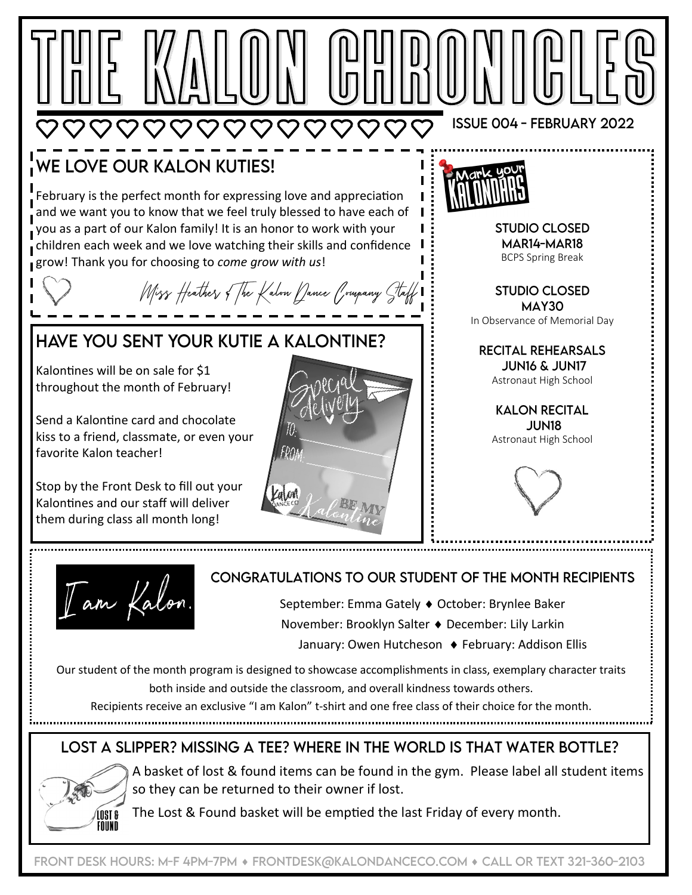

November: Brooklyn Salter ♦ December: Lily Larkin

January: Owen Hutcheson ♦ February: Addison Ellis

Our student of the month program is designed to showcase accomplishments in class, exemplary character traits both inside and outside the classroom, and overall kindness towards others.

Recipients receive an exclusive "I am Kalon" t-shirt and one free class of their choice for the month.

## LOST A SLIPPER? MISSING A TEE? WHERE IN THE WORLD IS THAT WATER BOTTLE?



A basket of lost & found items can be found in the gym. Please label all student items so they can be returned to their owner if lost.

The Lost & Found basket will be emptied the last Friday of every month.